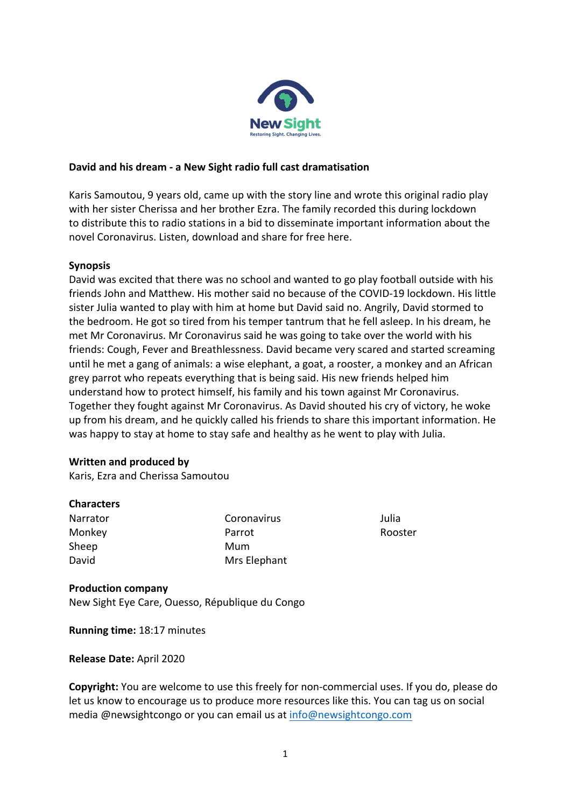

### **David and his dream - a New Sight radio full cast dramatisation**

Karis Samoutou, 9 years old, came up with the story line and wrote this original radio play with her sister Cherissa and her brother Ezra. The family recorded this during lockdown to distribute this to radio stations in a bid to disseminate important information about the novel Coronavirus. Listen, download and share for free here.

### **Synopsis**

David was excited that there was no school and wanted to go play football outside with his friends John and Matthew. His mother said no because of the COVID-19 lockdown. His little sister Julia wanted to play with him at home but David said no. Angrily, David stormed to the bedroom. He got so tired from his temper tantrum that he fell asleep. In his dream, he met Mr Coronavirus. Mr Coronavirus said he was going to take over the world with his friends: Cough, Fever and Breathlessness. David became very scared and started screaming until he met a gang of animals: a wise elephant, a goat, a rooster, a monkey and an African grey parrot who repeats everything that is being said. His new friends helped him understand how to protect himself, his family and his town against Mr Coronavirus. Together they fought against Mr Coronavirus. As David shouted his cry of victory, he woke up from his dream, and he quickly called his friends to share this important information. He was happy to stay at home to stay safe and healthy as he went to play with Julia.

### **Written and produced by**

Karis, Ezra and Cherissa Samoutou

### **Characters**

| Narrator |
|----------|
| Monkey   |
| Sheep    |
| David    |

Coronavirus Parrot Mum Mrs Elephant Julia Rooster

### **Production company**

New Sight Eye Care, Ouesso, République du Congo

**Running time:** 18:17 minutes

### **Release Date: April 2020**

**Copyright:** You are welcome to use this freely for non-commercial uses. If you do, please do let us know to encourage us to produce more resources like this. You can tag us on social media @newsightcongo or you can email us at info@newsightcongo.com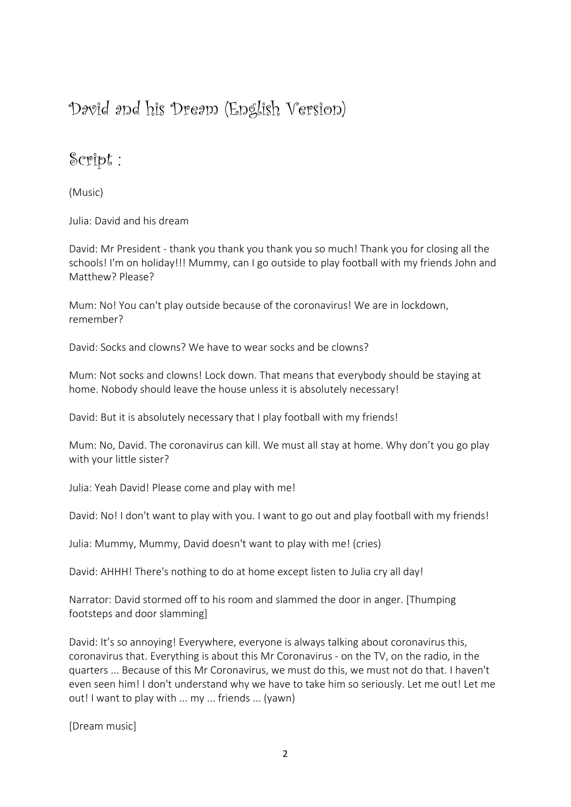# David and his Dream (English Version)

## Script :

(Music)

Julia: David and his dream

David: Mr President - thank you thank you thank you so much! Thank you for closing all the schools! I'm on holiday!!! Mummy, can I go outside to play football with my friends John and Matthew? Please?

Mum: No! You can't play outside because of the coronavirus! We are in lockdown, remember?

David: Socks and clowns? We have to wear socks and be clowns?

Mum: Not socks and clowns! Lock down. That means that everybody should be staying at home. Nobody should leave the house unless it is absolutely necessary!

David: But it is absolutely necessary that I play football with my friends!

Mum: No, David. The coronavirus can kill. We must all stay at home. Why don't you go play with your little sister?

Julia: Yeah David! Please come and play with me!

David: No! I don't want to play with you. I want to go out and play football with my friends!

Julia: Mummy, Mummy, David doesn't want to play with me! (cries)

David: AHHH! There's nothing to do at home except listen to Julia cry all day!

Narrator: David stormed off to his room and slammed the door in anger. [Thumping footsteps and door slamming]

David: It's so annoying! Everywhere, everyone is always talking about coronavirus this, coronavirus that. Everything is about this Mr Coronavirus - on the TV, on the radio, in the guarters ... Because of this Mr Coronavirus, we must do this, we must not do that. I haven't even seen him! I don't understand why we have to take him so seriously. Let me out! Let me out! I want to play with ... my ... friends ... (yawn)

[Dream music]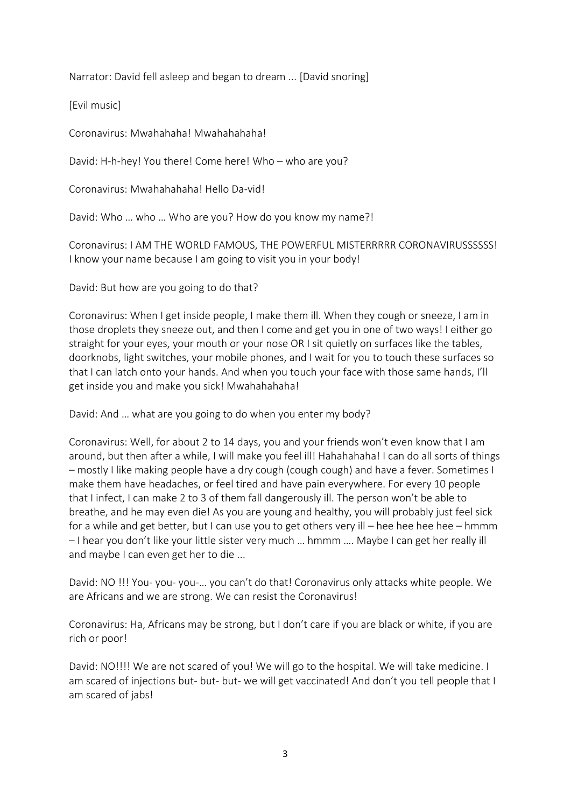Narrator: David fell asleep and began to dream ... [David snoring]

[Evil music]

Coronavirus: Mwahahaha! Mwahahahaha! 

David: H-h-hey! You there! Come here! Who – who are you?

Coronavirus: Mwahahahaha! Hello Da-vid!

David: Who ... who ... Who are you? How do you know my name?!

Coronavirus: I AM THE WORLD FAMOUS, THE POWERFUL MISTERRRRR CORONAVIRUSSSSSS! I know your name because I am going to visit you in your body!

David: But how are you going to do that?

Coronavirus: When I get inside people, I make them ill. When they cough or sneeze, I am in those droplets they sneeze out, and then I come and get you in one of two ways! I either go straight for your eyes, your mouth or your nose OR I sit quietly on surfaces like the tables, doorknobs, light switches, your mobile phones, and I wait for you to touch these surfaces so that I can latch onto your hands. And when you touch your face with those same hands, I'll get inside you and make you sick! Mwahahahaha!

David: And ... what are you going to do when you enter my body?

Coronavirus: Well, for about 2 to 14 days, you and your friends won't even know that I am around, but then after a while, I will make you feel ill! Hahahahaha! I can do all sorts of things – mostly I like making people have a dry cough (cough cough) and have a fever. Sometimes I make them have headaches, or feel tired and have pain everywhere. For every 10 people that I infect, I can make 2 to 3 of them fall dangerously ill. The person won't be able to breathe, and he may even die! As you are young and healthy, you will probably just feel sick for a while and get better, but I can use you to get others very ill – hee hee hee hee – hmmm  $-1$  hear you don't like your little sister very much ... hmmm .... Maybe I can get her really ill and maybe I can even get her to die ...

David: NO !!! You- you- you-... you can't do that! Coronavirus only attacks white people. We are Africans and we are strong. We can resist the Coronavirus!

Coronavirus: Ha, Africans may be strong, but I don't care if you are black or white, if you are rich or poor!

David: NO!!!! We are not scared of you! We will go to the hospital. We will take medicine. I am scared of injections but- but- but- we will get vaccinated! And don't you tell people that I am scared of jabs!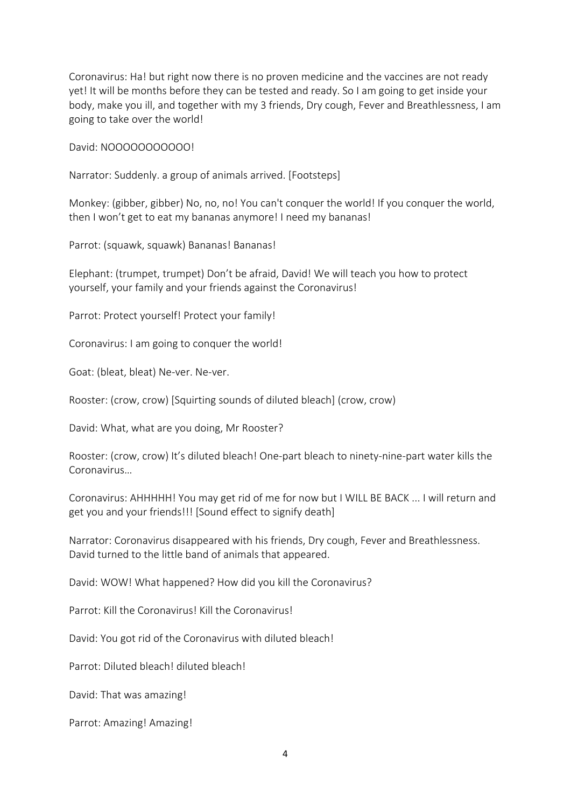Coronavirus: Ha! but right now there is no proven medicine and the vaccines are not ready yet! It will be months before they can be tested and ready. So I am going to get inside your body, make you ill, and together with my 3 friends, Dry cough, Fever and Breathlessness, I am going to take over the world!

David: NOOOOOOOOOO!

Narrator: Suddenly. a group of animals arrived. [Footsteps]

Monkey: (gibber, gibber) No, no, no! You can't conquer the world! If you conquer the world, then I won't get to eat my bananas anymore! I need my bananas!

Parrot: (squawk, squawk) Bananas! Bananas!

Elephant: (trumpet, trumpet) Don't be afraid, David! We will teach you how to protect yourself, your family and your friends against the Coronavirus!

Parrot: Protect yourself! Protect your family!

Coronavirus: I am going to conquer the world!

Goat: (bleat, bleat) Ne-ver. Ne-ver.

Rooster: (crow, crow) [Squirting sounds of diluted bleach] (crow, crow)

David: What, what are you doing, Mr Rooster?

Rooster: (crow, crow) It's diluted bleach! One-part bleach to ninety-nine-part water kills the Coronavirus…

Coronavirus: AHHHHH! You may get rid of me for now but I WILL BE BACK ... I will return and get you and your friends!!! [Sound effect to signify death]

Narrator: Coronavirus disappeared with his friends, Dry cough, Fever and Breathlessness. David turned to the little band of animals that appeared.

David: WOW! What happened? How did you kill the Coronavirus?

Parrot: Kill the Coronavirus! Kill the Coronavirus!

David: You got rid of the Coronavirus with diluted bleach!

Parrot: Diluted bleach! diluted bleach!

David: That was amazing!

Parrot: Amazing! Amazing!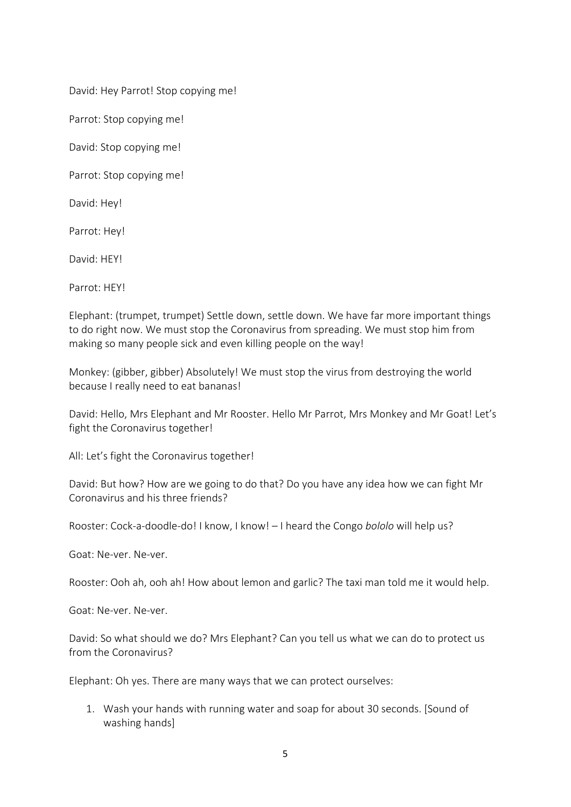David: Hey Parrot! Stop copying me!

Parrot: Stop copying me!

David: Stop copying me!

Parrot: Stop copying me!

David: Hey!

Parrot: Hey!

David: HFYL

Parrot: HFY!

Elephant: (trumpet, trumpet) Settle down, settle down. We have far more important things to do right now. We must stop the Coronavirus from spreading. We must stop him from making so many people sick and even killing people on the way!

Monkey: (gibber, gibber) Absolutely! We must stop the virus from destroying the world because I really need to eat bananas!

David: Hello, Mrs Elephant and Mr Rooster. Hello Mr Parrot, Mrs Monkey and Mr Goat! Let's fight the Coronavirus together!

All: Let's fight the Coronavirus together!

David: But how? How are we going to do that? Do you have any idea how we can fight Mr Coronavirus and his three friends?

Rooster: Cock-a-doodle-do! I know, I know! – I heard the Congo *bololo* will help us?

Goat: Ne-ver. Ne-ver.

Rooster: Ooh ah, ooh ah! How about lemon and garlic? The taxi man told me it would help.

Goat: Ne-ver. Ne-ver.

David: So what should we do? Mrs Elephant? Can you tell us what we can do to protect us from the Coronavirus?

Elephant: Oh yes. There are many ways that we can protect ourselves:

1. Wash your hands with running water and soap for about 30 seconds. [Sound of washing hands]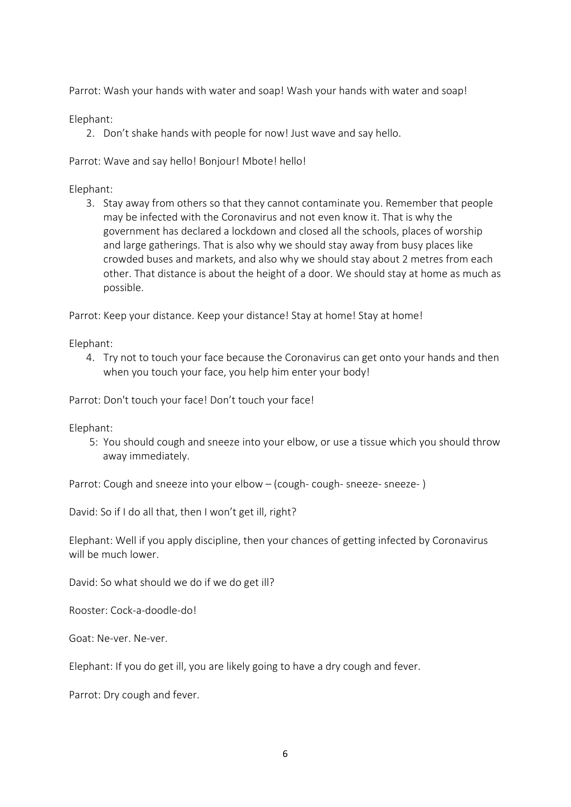Parrot: Wash your hands with water and soap! Wash your hands with water and soap!

Elephant:

2. Don't shake hands with people for now! Just wave and say hello.

Parrot: Wave and say hello! Bonjour! Mbote! hello!

Elephant:

3. Stay away from others so that they cannot contaminate you. Remember that people may be infected with the Coronavirus and not even know it. That is why the government has declared a lockdown and closed all the schools, places of worship and large gatherings. That is also why we should stay away from busy places like crowded buses and markets, and also why we should stay about 2 metres from each other. That distance is about the height of a door. We should stay at home as much as possible.

Parrot: Keep your distance. Keep your distance! Stay at home! Stay at home!

Elephant:

4. Try not to touch your face because the Coronavirus can get onto your hands and then when you touch your face, you help him enter your body!

Parrot: Don't touch your face! Don't touch your face!

Elephant:

5: You should cough and sneeze into your elbow, or use a tissue which you should throw away immediately.

Parrot: Cough and sneeze into your elbow – (cough- cough- sneeze- sneeze-)

David: So if I do all that, then I won't get ill, right?

Elephant: Well if you apply discipline, then your chances of getting infected by Coronavirus will be much lower

David: So what should we do if we do get ill?

Rooster: Cock-a-doodle-do!

Goat: Ne-ver. Ne-ver.

Elephant: If you do get ill, you are likely going to have a dry cough and fever.

Parrot: Dry cough and fever.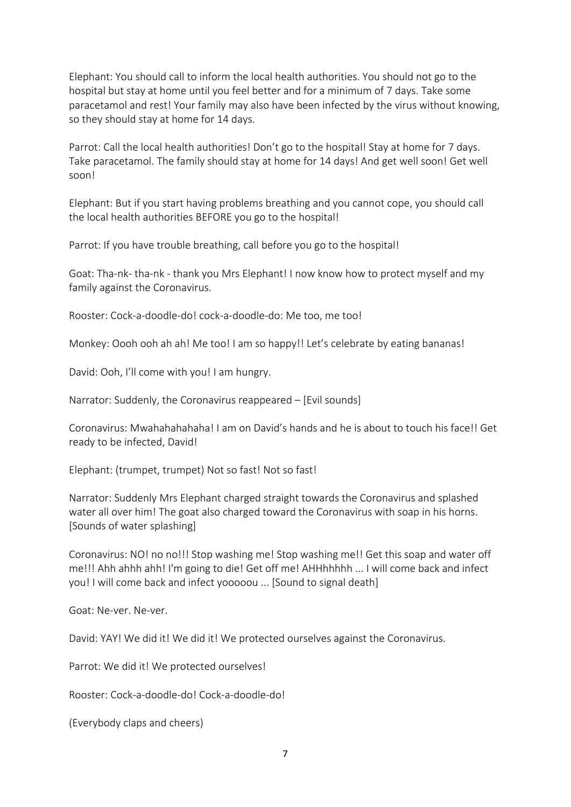Elephant: You should call to inform the local health authorities. You should not go to the hospital but stay at home until you feel better and for a minimum of 7 days. Take some paracetamol and rest! Your family may also have been infected by the virus without knowing, so they should stay at home for 14 days.

Parrot: Call the local health authorities! Don't go to the hospital! Stay at home for 7 days. Take paracetamol. The family should stay at home for 14 days! And get well soon! Get well soon!

Elephant: But if you start having problems breathing and you cannot cope, you should call the local health authorities BEFORE you go to the hospital!

Parrot: If you have trouble breathing, call before you go to the hospital!

Goat: Tha-nk- tha-nk - thank you Mrs Elephant! I now know how to protect myself and my family against the Coronavirus.

Rooster: Cock-a-doodle-do! cock-a-doodle-do: Me too, me too!

Monkey: Oooh ooh ah ah! Me too! I am so happy!! Let's celebrate by eating bananas!

David: Ooh, I'll come with you! I am hungry.

Narrator: Suddenly, the Coronavirus reappeared  $-$  [Evil sounds]

Coronavirus: Mwahahahahaha! I am on David's hands and he is about to touch his face!! Get ready to be infected, David!

Elephant: (trumpet, trumpet) Not so fast! Not so fast!

Narrator: Suddenly Mrs Elephant charged straight towards the Coronavirus and splashed water all over him! The goat also charged toward the Coronavirus with soap in his horns. [Sounds of water splashing]

Coronavirus: NO! no no!!! Stop washing me! Stop washing me!! Get this soap and water off me!!! Ahh ahhh ahh! I'm going to die! Get off me! AHHhhhhh ... I will come back and infect you! I will come back and infect yooooou ... [Sound to signal death]

Goat: Ne-ver. Ne-ver.

David: YAY! We did it! We did it! We protected ourselves against the Coronavirus.

Parrot: We did it! We protected ourselves!

Rooster: Cock-a-doodle-do! Cock-a-doodle-do! 

(Everybody claps and cheers)